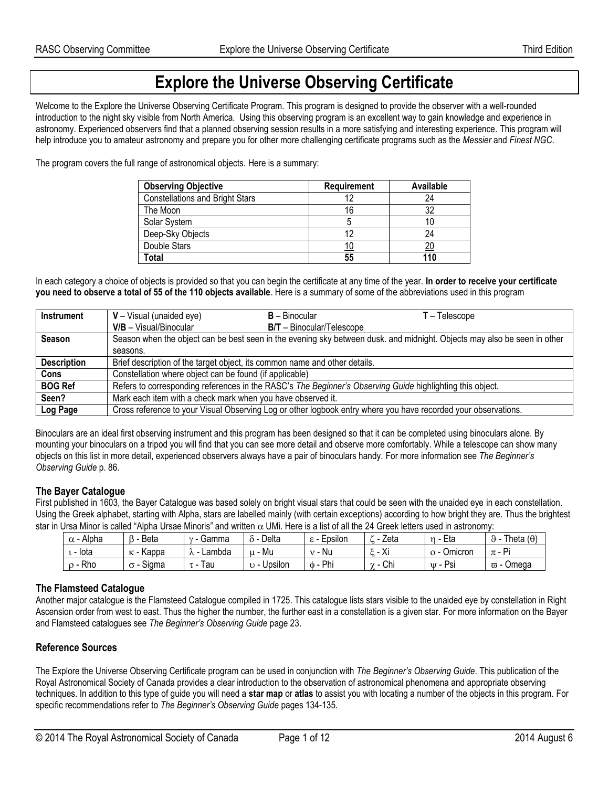## **Explore the Universe Observing Certificate**

Welcome to the Explore the Universe Observing Certificate Program. This program is designed to provide the observer with a well-rounded introduction to the night sky visible from North America. Using this observing program is an excellent way to gain knowledge and experience in astronomy. Experienced observers find that a planned observing session results in a more satisfying and interesting experience. This program will help introduce you to amateur astronomy and prepare you for other more challenging certificate programs such as the *Messier* and *Finest NGC*.

The program covers the full range of astronomical objects. Here is a summary:

| <b>Observing Objective</b>             | <b>Requirement</b> | <b>Available</b> |
|----------------------------------------|--------------------|------------------|
| <b>Constellations and Bright Stars</b> |                    | 24               |
| The Moon                               | 16                 | 32               |
| Solar System                           |                    |                  |
| Deep-Sky Objects                       |                    | 24               |
| Double Stars                           |                    |                  |
| Total                                  | 55                 | 110              |

In each category a choice of objects is provided so that you can begin the certificate at any time of the year. **In order to receive your certificate you need to observe a total of 55 of the 110 objects available**. Here is a summary of some of the abbreviations used in this program

| Instrument         | $V - Visual$ (unaided eye)                                  | <b>B</b> – Binocular                                                                                      | T – Telescope                                                                                                            |
|--------------------|-------------------------------------------------------------|-----------------------------------------------------------------------------------------------------------|--------------------------------------------------------------------------------------------------------------------------|
|                    | $V/B - Visual/Binocular$                                    | $B/T - Binocular/Telescope$                                                                               |                                                                                                                          |
| <b>Season</b>      |                                                             |                                                                                                           | Season when the object can be best seen in the evening sky between dusk, and midnight. Objects may also be seen in other |
|                    | seasons.                                                    |                                                                                                           |                                                                                                                          |
| <b>Description</b> |                                                             | Brief description of the target object, its common name and other details.                                |                                                                                                                          |
| <b>Cons</b>        | Constellation where object can be found (if applicable)     |                                                                                                           |                                                                                                                          |
| <b>BOG Ref</b>     |                                                             | Refers to corresponding references in the RASC's The Beginner's Observing Guide highlighting this object. |                                                                                                                          |
| Seen?              | Mark each item with a check mark when you have observed it. |                                                                                                           |                                                                                                                          |
| Log Page           |                                                             |                                                                                                           | Cross reference to your Visual Observing Log or other logbook entry where you have recorded your observations.           |

Binoculars are an ideal first observing instrument and this program has been designed so that it can be completed using binoculars alone. By mounting your binoculars on a tripod you will find that you can see more detail and observe more comfortably. While a telescope can show many objects on this list in more detail, experienced observers always have a pair of binoculars handy. For more information see *The Beginner's Observing Guide* p. 86.

#### **The Bayer Catalogue**

First published in 1603, the Bayer Catalogue was based solely on bright visual stars that could be seen with the unaided eye in each constellation. Using the Greek alphabet, starting with Alpha, stars are labelled mainly (with certain exceptions) according to how bright they are. Thus the brightest star in Ursa Minor is called "Alpha Ursae Minoris" and written  $\alpha$  UMi. Here is a list of all the 24 Greek letters used in astronomy:

| : - Alpha<br>$\alpha$ | Beta                  | Gamma<br>$\sim$<br>$\overline{\phantom{0}}$ | Delta                 | Epsilon<br>ິ  | Zeta                    | Eta<br>$\sim$                            | $(\theta)$<br>Theta<br>$\Omega$<br>৬ |
|-----------------------|-----------------------|---------------------------------------------|-----------------------|---------------|-------------------------|------------------------------------------|--------------------------------------|
| - lota                | Kappa<br>$\sim$<br>n. | Lambda<br>୵                                 | Mu                    | Nu            | v:<br><br>ΛI            | Omicron<br>∽<br>$\overline{\phantom{a}}$ | Pi<br>$\pi$ -                        |
| Rho                   | Siama                 | l au<br>$T -$                               | <br>Upsilon<br>$\sim$ | Phi<br>$\Phi$ | Chi<br>$\sim$<br>$\sim$ | Psi<br>$\mathbf{u}$                      | Omega<br>$\varpi$ -                  |

#### **The Flamsteed Catalogue**

Another major catalogue is the Flamsteed Catalogue compiled in 1725. This catalogue lists stars visible to the unaided eye by constellation in Right Ascension order from west to east. Thus the higher the number, the further east in a constellation is a given star. For more information on the Bayer and Flamsteed catalogues see *The Beginner's Observing Guide* page 23.

#### **Reference Sources**

The Explore the Universe Observing Certificate program can be used in conjunction with *The Beginner's Observing Guide*. This publication of the Royal Astronomical Society of Canada provides a clear introduction to the observation of astronomical phenomena and appropriate observing techniques. In addition to this type of guide you will need a **star map** or **atlas** to assist you with locating a number of the objects in this program. For specific recommendations refer to *The Beginner's Observing Guide* pages 134-135.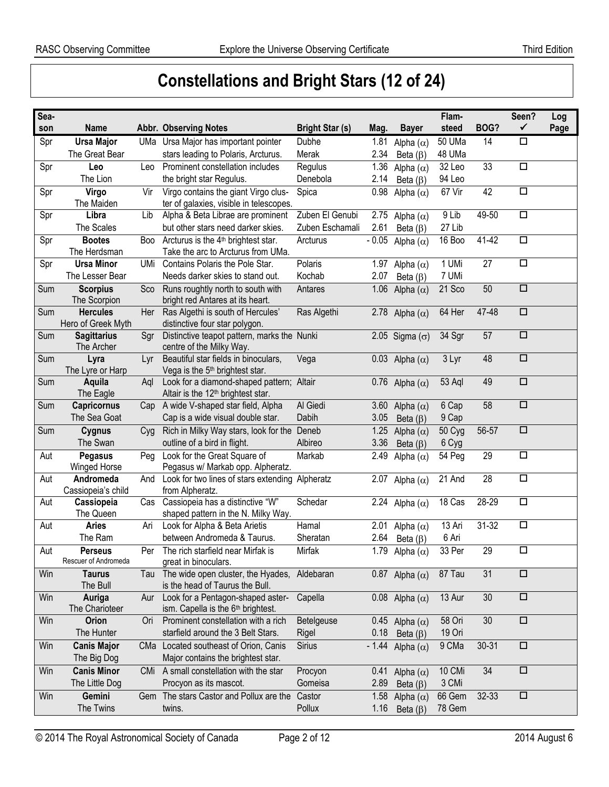# **Constellations and Bright Stars (12 of 24)**

| Sea- |                          |     |                                                                  |                        |         |                         | Flam-  |                     | Seen?<br>$\checkmark$ | Log  |
|------|--------------------------|-----|------------------------------------------------------------------|------------------------|---------|-------------------------|--------|---------------------|-----------------------|------|
| son  | <b>Name</b>              |     | Abbr. Observing Notes                                            | <b>Bright Star (s)</b> | Mag.    | <b>Bayer</b>            | steed  | BOG?                |                       | Page |
| Spr  | <b>Ursa Major</b>        |     | UMa Ursa Major has important pointer                             | Dubhe                  | 1.81    | Alpha $(\alpha)$        | 50 UMa | 14                  | $\Box$                |      |
|      | The Great Bear           |     | stars leading to Polaris, Arcturus.                              | Merak                  | 2.34    | Beta $(\beta)$          | 48 UMa |                     |                       |      |
| Spr  | Leo                      | Leo | Prominent constellation includes                                 | Regulus                | 1.36    | Alpha $(\alpha)$        | 32 Leo | 33                  | $\overline{\square}$  |      |
|      | The Lion                 |     | the bright star Regulus.                                         | Denebola               | 2.14    | Beta $(\beta)$          | 94 Leo |                     |                       |      |
| Spr  | Virgo                    | Vir | Virgo contains the giant Virgo clus-                             | Spica                  | 0.98    | Alpha $(\alpha)$        | 67 Vir | 42                  | $\Box$                |      |
|      | The Maiden               |     | ter of galaxies, visible in telescopes.                          |                        |         |                         |        |                     |                       |      |
| Spr  | Libra                    | Lib | Alpha & Beta Librae are prominent                                | Zuben El Genubi        |         | 2.75 Alpha $(\alpha)$   | 9 Lib  | 49-50               | $\Box$                |      |
|      | The Scales               |     | but other stars need darker skies.                               | Zuben Eschamali        | 2.61    | Beta $(\beta)$          | 27 Lib |                     |                       |      |
| Spr  | <b>Bootes</b>            | Boo | Arcturus is the 4 <sup>th</sup> brightest star.                  | Arcturus               | $-0.05$ | Alpha $(\alpha)$        | 16 Boo | $\overline{4}$ 1-42 | $\Box$                |      |
|      | The Herdsman             |     | Take the arc to Arcturus from UMa.                               |                        |         |                         |        |                     |                       |      |
| Spr  | <b>Ursa Minor</b>        | UMi | Contains Polaris the Pole Star.                                  | Polaris                |         | 1.97 Alpha $(\alpha)$   | 1 UMi  | 27                  | $\Box$                |      |
|      | The Lesser Bear          |     | Needs darker skies to stand out.                                 | Kochab                 | 2.07    | Beta $(\beta)$          | 7 UMi  |                     |                       |      |
| Sum  | <b>Scorpius</b>          | Sco | Runs roughtly north to south with                                | Antares                | 1.06    | Alpha $(\alpha)$        | 21 Sco | 50                  | $\Box$                |      |
|      | The Scorpion             |     | bright red Antares at its heart.                                 |                        |         |                         |        |                     |                       |      |
| Sum  | <b>Hercules</b>          | Her | Ras Algethi is south of Hercules'                                | Ras Algethi            |         | 2.78 Alpha $(\alpha)$   | 64 Her | 47-48               | $\overline{\square}$  |      |
|      | Hero of Greek Myth       |     | distinctive four star polygon.                                   |                        |         |                         |        |                     |                       |      |
| Sum  | <b>Sagittarius</b>       | Sgr | Distinctive teapot pattern, marks the Nunki                      |                        |         | 2.05 Sigma $(\sigma)$   | 34 Sgr | 57                  | $\overline{\square}$  |      |
|      | The Archer               |     | centre of the Milky Way.<br>Beautiful star fields in binoculars, |                        |         |                         |        | 48                  | $\Box$                |      |
| Sum  | Lyra<br>The Lyre or Harp | Lyr | Vega is the 5 <sup>th</sup> brightest star.                      | Vega                   |         | 0.03 Alpha $(\alpha)$   | 3 Lyr  |                     |                       |      |
| Sum  | Aquila                   |     | Look for a diamond-shaped pattern; Altair                        |                        |         |                         | 53 Aql | 49                  | $\Box$                |      |
|      | The Eagle                | Aql | Altair is the 12 <sup>th</sup> brightest star.                   |                        |         | 0.76 Alpha $(\alpha)$   |        |                     |                       |      |
| Sum  | Capricornus              | Cap | A wide V-shaped star field, Alpha                                | Al Giedi               |         | 3.60 Alpha $(\alpha)$   | 6 Cap  | 58                  | $\overline{\square}$  |      |
|      | The Sea Goat             |     | Cap is a wide visual double star.                                | Dabih                  | 3.05    | Beta $(\beta)$          | 9 Cap  |                     |                       |      |
| Sum  | Cygnus                   | Cyg | Rich in Milky Way stars, look for the Deneb                      |                        | 1.25    | Alpha $(\alpha)$        | 50 Cyg | 56-57               | $\Box$                |      |
|      | The Swan                 |     | outline of a bird in flight.                                     | Albireo                | 3.36    |                         | 6 Cyg  |                     |                       |      |
| Aut  | Pegasus                  | Peg | Look for the Great Square of                                     | Markab                 | 2.49    | Beta $(\beta)$          | 54 Peg | 29                  | $\Box$                |      |
|      | Winged Horse             |     | Pegasus w/ Markab opp. Alpheratz.                                |                        |         | Alpha $(\alpha)$        |        |                     |                       |      |
| Aut  | Andromeda                | And | Look for two lines of stars extending Alpheratz                  |                        |         | 2.07 Alpha $(\alpha)$   | 21 And | 28                  | $\overline{\square}$  |      |
|      | Cassiopeia's child       |     | from Alpheratz.                                                  |                        |         |                         |        |                     |                       |      |
| Aut  | Cassiopeia               | Cas | Cassiopeia has a distinctive "W"                                 | Schedar                |         | 2.24 Alpha $(\alpha)$   | 18 Cas | 28-29               | $\Box$                |      |
|      | The Queen                |     | shaped pattern in the N. Milky Way.                              |                        |         |                         |        |                     |                       |      |
| Aut  | <b>Aries</b>             | Ari | Look for Alpha & Beta Arietis                                    | Hamal                  | 2.01    | Alpha $(\alpha)$        | 13 Ari | 31-32               | $\Box$                |      |
|      | The Ram                  |     | between Andromeda & Taurus.                                      | Sheratan               | 2.64    | Beta $(\beta)$          | 6 Ari  |                     |                       |      |
| Aut  | <b>Perseus</b>           |     | Per The rich starfield near Mirfak is                            | Mirfak                 |         | 1.79 Alpha $(\alpha)$   | 33 Per | 29                  | □                     |      |
|      | Rescuer of Andromeda     |     | great in binoculars.                                             |                        |         |                         |        |                     |                       |      |
| Win  | <b>Taurus</b>            | lau | The wide open cluster, the Hyades, Aldebaran                     |                        |         | 0.87 Alpha $(\alpha)$   | 87 Tau | 31                  | $\Box$                |      |
|      | The Bull                 |     | is the head of Taurus the Bull.                                  |                        |         |                         |        |                     |                       |      |
| Win  | Auriga                   | Aur | Look for a Pentagon-shaped aster-                                | Capella                |         | 0.08 Alpha $(\alpha)$   | 13 Aur | 30                  | $\Box$                |      |
|      | The Charioteer           |     | ism. Capella is the 6 <sup>th</sup> brightest.                   |                        |         |                         |        |                     |                       |      |
| Win  | Orion                    | Ori | Prominent constellation with a rich                              | Betelgeuse             |         | 0.45 Alpha $(\alpha)$   | 58 Ori | 30                  | $\Box$                |      |
|      | The Hunter               |     | starfield around the 3 Belt Stars.                               | Rigel                  | 0.18    | Beta $(\beta)$          | 19 Ori |                     |                       |      |
| Win  | <b>Canis Major</b>       |     | CMa Located southeast of Orion, Canis                            | Sirius                 |         | - 1.44 Alpha $(\alpha)$ | 9 CMa  | $30 - 31$           | $\Box$                |      |
|      | The Big Dog              |     | Major contains the brightest star.                               |                        |         |                         |        |                     |                       |      |
| Win  | <b>Canis Minor</b>       |     | CMi A small constellation with the star                          | Procyon                |         | 0.41 Alpha $(\alpha)$   | 10 CMi | 34                  | $\Box$                |      |
|      | The Little Dog           |     | Procyon as its mascot.                                           | Gomeisa                | 2.89    | Beta $(\beta)$          | 3 CMi  |                     |                       |      |
|      |                          |     |                                                                  |                        |         |                         |        |                     |                       |      |
| Win  | Gemini                   |     | Gem The stars Castor and Pollux are the                          | Castor                 |         | 1.58 Alpha $(\alpha)$   | 66 Gem | 32-33               | □                     |      |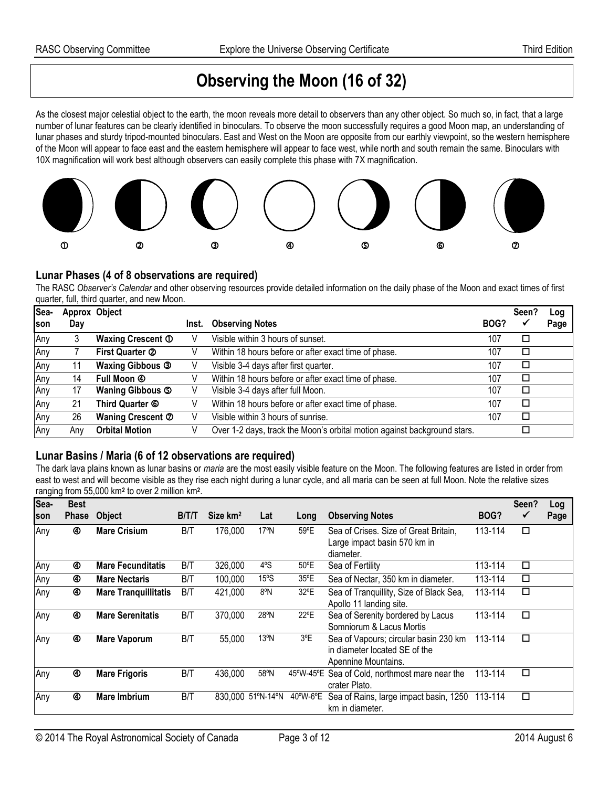## **Observing the Moon (16 of 32)**

As the closest major celestial object to the earth, the moon reveals more detail to observers than any other object. So much so, in fact, that a large number of lunar features can be clearly identified in binoculars. To observe the moon successfully requires a good Moon map, an understanding of lunar phases and sturdy tripod-mounted binoculars. East and West on the Moon are opposite from our earthly viewpoint, so the western hemisphere of the Moon will appear to face east and the eastern hemisphere will appear to face west, while north and south remain the same. Binoculars with 10X magnification will work best although observers can easily complete this phase with 7X magnification.



#### **Lunar Phases (4 of 8 observations are required)**

The RASC *Observer's Calendar* and other observing resources provide detailed information on the daily phase of the Moon and exact times of first quarter, full, third quarter, and new Moon.

| Sea-        | Approx Object |                            |       |                                                                          |      | Seen?  | Log  |
|-------------|---------------|----------------------------|-------|--------------------------------------------------------------------------|------|--------|------|
| <b>Ison</b> | Day           |                            | Inst. | <b>Observing Notes</b>                                                   | BOG? |        | Page |
| Any         |               | Waxing Crescent 1          | V     | Visible within 3 hours of sunset.                                        | 107  | □      |      |
| Any         |               | First Quarter 2            |       | Within 18 hours before or after exact time of phase.                     | 107  | $\Box$ |      |
| Any         | 11            | <b>Waxing Gibbous 3</b>    |       | Visible 3-4 days after first quarter.                                    | 107  | □      |      |
| Any         | 14            | Full Moon 4                |       | Within 18 hours before or after exact time of phase.                     | 107  | □      |      |
| Any         | 17            | Waning Gibbous 5           |       | Visible 3-4 days after full Moon.                                        | 107  | □      |      |
| Any         | 21            | Third Quarter <sup>6</sup> |       | Within 18 hours before or after exact time of phase.                     | 107  | $\Box$ |      |
| Any         | 26            | Waning Crescent 2          |       | Visible within 3 hours of sunrise.                                       | 107  | □      |      |
| Any         | Anv           | <b>Orbital Motion</b>      |       | Over 1-2 days, track the Moon's orbital motion against background stars. |      |        |      |

### **Lunar Basins / Maria (6 of 12 observations are required)**

The dark lava plains known as lunar basins or *maria* are the most easily visible feature on the Moon. The following features are listed in order from east to west and will become visible as they rise each night during a lunar cycle, and all maria can be seen at full Moon. Note the relative sizes ranging from 55,000 km<sup>2</sup> to over 2 million km<sup>2</sup>.

| Sea- | <b>Best</b><br><b>Phase</b> | <b>Object</b>               | <b>BITIT</b> | Size km <sup>2</sup> | Lat               |               | <b>Observing Notes</b>                                                                        | BOG?    | Seen?<br>✓           | Log<br>Page |
|------|-----------------------------|-----------------------------|--------------|----------------------|-------------------|---------------|-----------------------------------------------------------------------------------------------|---------|----------------------|-------------|
| son  |                             |                             |              |                      |                   | Long          |                                                                                               |         |                      |             |
| Any  | ⊛                           | <b>Mare Crisium</b>         | B/T          | 176,000              | $17^{\circ}$ N    | 59°E          | Sea of Crises. Size of Great Britain,<br>Large impact basin 570 km in<br>diameter.            | 113-114 | $\Box$               |             |
| Any  | ⊛                           | <b>Mare Fecunditatis</b>    | B/T          | 326,000              | 4°S               | 50°E          | Sea of Fertility                                                                              | 113-114 | $\Box$               |             |
| Any  | ⊛                           | <b>Mare Nectaris</b>        | B/T          | 100,000              | 15°S              | 35°E          | Sea of Nectar, 350 km in diameter.                                                            | 113-114 | $\Box$               |             |
| Any  |                             | <b>Mare Tranquillitatis</b> | B/T          | 421,000              | 8°N               | 32°E          | Sea of Tranquillity, Size of Black Sea,<br>Apollo 11 landing site.                            | 113-114 | $\overline{\square}$ |             |
| Any  | ⊛                           | <b>Mare Serenitatis</b>     | B/T          | 370,000              | 28°N              | $22^{\circ}E$ | Sea of Serenity bordered by Lacus<br>Somniorum & Lacus Mortis                                 | 113-114 | $\Box$               |             |
| Any  | ④                           | <b>Mare Vaporum</b>         | B/T          | 55,000               | $13^{\circ}$ N    | 3°E           | Sea of Vapours; circular basin 230 km<br>in diameter located SE of the<br>Apennine Mountains. | 113-114 | $\Box$               |             |
| Any  | ⊛                           | <b>Mare Frigoris</b>        | B/T          | 436,000              | 58°N              | 45°W-45°E     | Sea of Cold, northmost mare near the<br>crater Plato.                                         | 113-114 | $\Box$               |             |
| Any  | ⊛                           | <b>Mare Imbrium</b>         | B/T          |                      | 830,000 51°N-14°N | 40°W-6°E      | Sea of Rains, large impact basin, 1250<br>km in diameter.                                     | 113-114 | $\Box$               |             |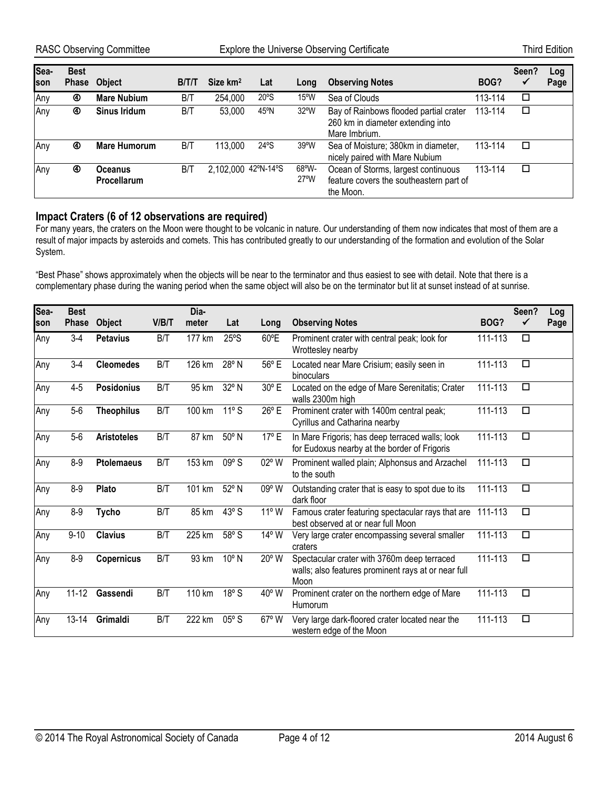| Sea-<br>Ison | <b>Best</b><br>Phase | <b>Object</b>                 | <b>B/T/T</b> | Size km <sup>2</sup> | Lat  | Long                              | <b>Observing Notes</b>                                                                       | BOG?    | Seen?<br>$\checkmark$ | Log<br>Page |
|--------------|----------------------|-------------------------------|--------------|----------------------|------|-----------------------------------|----------------------------------------------------------------------------------------------|---------|-----------------------|-------------|
| Any          | ⊛                    | <b>Mare Nubium</b>            | B/T          | 254,000              | 20°S | $15^{\circ}$ W                    | Sea of Clouds                                                                                | 113-114 | □                     |             |
| Any          | ⊛                    | Sinus Iridum                  | B/T          | 53,000               | 45°N | $32^{\circ}$ W                    | Bay of Rainbows flooded partial crater<br>260 km in diameter extending into<br>Mare Imbrium. | 113-114 | □                     |             |
| Any          | ⊛                    | <b>Mare Humorum</b>           | B/T          | 113,000              | 24°S | 39°W                              | Sea of Moisture; 380km in diameter,<br>nicely paired with Mare Nubium                        | 113-114 | □                     |             |
| Any          | ⊕                    | <b>Oceanus</b><br>Procellarum | B/T          | 2,102,000 42°N-14°S  |      | $68^{\circ}$ W-<br>$27^{\circ}$ W | Ocean of Storms, largest continuous<br>feature covers the southeastern part of<br>the Moon.  | 113-114 | □                     |             |

#### **Impact Craters (6 of 12 observations are required)**

For many years, the craters on the Moon were thought to be volcanic in nature. Our understanding of them now indicates that most of them are a result of major impacts by asteroids and comets. This has contributed greatly to our understanding of the formation and evolution of the Solar System.

"Best Phase" shows approximately when the objects will be near to the terminator and thus easiest to see with detail. Note that there is a complementary phase during the waning period when the same object will also be on the terminator but lit at sunset instead of at sunrise.

| Sea- | <b>Best</b>  |                    |       | Dia-   |                |                |                                                                                                            |         | Seen?  | Log  |
|------|--------------|--------------------|-------|--------|----------------|----------------|------------------------------------------------------------------------------------------------------------|---------|--------|------|
| son  | <b>Phase</b> | Object             | V/B/T | meter  | Lat            | Long           | <b>Observing Notes</b>                                                                                     | BOG?    | ✓      | Page |
| Any  | $3-4$        | <b>Petavius</b>    | B/T   | 177 km | 25°S           | 60°E           | Prominent crater with central peak; look for<br>Wrottesley nearby                                          | 111-113 | $\Box$ |      |
| Any  | $3-4$        | <b>Cleomedes</b>   | B/T   | 126 km | 28° N          | 56°E           | Located near Mare Crisium; easily seen in<br>binoculars                                                    | 111-113 | $\Box$ |      |
| Any  | $4 - 5$      | <b>Posidonius</b>  | B/T   | 95 km  | 32° N          | 30° E          | Located on the edge of Mare Serenitatis; Crater<br>walls 2300m high                                        | 111-113 | $\Box$ |      |
| Any  | $5-6$        | <b>Theophilus</b>  | B/T   | 100 km | $11°$ S        | $26^{\circ}$ E | Prominent crater with 1400m central peak;<br>Cyrillus and Catharina nearby                                 | 111-113 | $\Box$ |      |
| Any  | $5-6$        | <b>Aristoteles</b> | B/T   | 87 km  | 50° N          | 17° E          | In Mare Frigoris; has deep terraced walls; look<br>for Eudoxus nearby at the border of Frigoris            | 111-113 | $\Box$ |      |
| Any  | $8-9$        | <b>Ptolemaeus</b>  | B/T   | 153 km | $09°$ S        | 02° W          | Prominent walled plain; Alphonsus and Arzachel<br>to the south                                             | 111-113 | $\Box$ |      |
| Any  | $8-9$        | Plato              | B/T   | 101 km | 52° N          | 09° W          | Outstanding crater that is easy to spot due to its<br>dark floor                                           | 111-113 | □      |      |
| Any  | $8-9$        | <b>Tycho</b>       | B/T   | 85 km  | $43°$ S        | $11^{\circ}$ W | Famous crater featuring spectacular rays that are<br>best observed at or near full Moon                    | 111-113 | $\Box$ |      |
| Any  | $9 - 10$     | <b>Clavius</b>     | B/T   | 225 km | 58° S          | 14° W          | Very large crater encompassing several smaller<br>craters                                                  | 111-113 | □      |      |
| Any  | $8-9$        | <b>Copernicus</b>  | B/T   | 93 km  | $10^{\circ}$ N | 20° W          | Spectacular crater with 3760m deep terraced<br>walls; also features prominent rays at or near full<br>Moon | 111-113 | $\Box$ |      |
| Any  | $11 - 12$    | Gassendi           | B/T   | 110 km | 18°S           | $40^{\circ}$ W | Prominent crater on the northern edge of Mare<br>Humorum                                                   | 111-113 | $\Box$ |      |
| Any  | $13 - 14$    | Grimaldi           | B/T   | 222 km | $05^{\circ}$ S | $67°$ W        | Very large dark-floored crater located near the<br>western edge of the Moon                                | 111-113 | $\Box$ |      |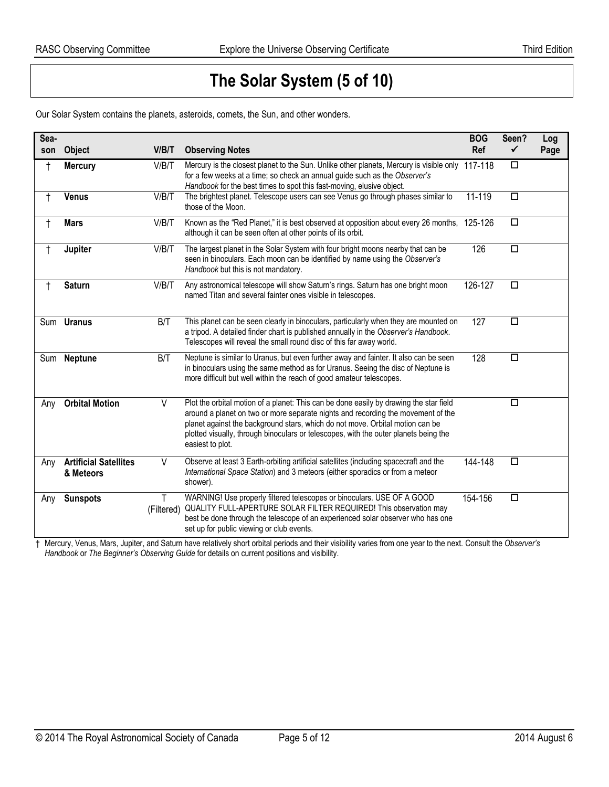## **The Solar System (5 of 10)**

Our Solar System contains the planets, asteroids, comets, the Sun, and other wonders.

| Sea-<br>son | Object                                    | V/B/T           | <b>Observing Notes</b>                                                                                                                                                                                                                                                                                                                                                  | <b>BOG</b><br>Ref | Seen?<br>✓ | Log<br>Page |
|-------------|-------------------------------------------|-----------------|-------------------------------------------------------------------------------------------------------------------------------------------------------------------------------------------------------------------------------------------------------------------------------------------------------------------------------------------------------------------------|-------------------|------------|-------------|
| $\ddagger$  | <b>Mercury</b>                            | V/B/T           | Mercury is the closest planet to the Sun. Unlike other planets, Mercury is visible only 117-118<br>for a few weeks at a time; so check an annual guide such as the Observer's<br>Handbook for the best times to spot this fast-moving, elusive object.                                                                                                                  |                   | $\Box$     |             |
| $\ddagger$  | <b>Venus</b>                              | V/B/T           | The brightest planet. Telescope users can see Venus go through phases similar to<br>those of the Moon.                                                                                                                                                                                                                                                                  | 11-119            | □          |             |
| $\ddagger$  | <b>Mars</b>                               | V/B/T           | Known as the "Red Planet," it is best observed at opposition about every 26 months, 125-126<br>although it can be seen often at other points of its orbit.                                                                                                                                                                                                              |                   | $\Box$     |             |
| t           | Jupiter                                   | V/B/T           | The largest planet in the Solar System with four bright moons nearby that can be<br>seen in binoculars. Each moon can be identified by name using the Observer's<br>Handbook but this is not mandatory.                                                                                                                                                                 | 126               | $\Box$     |             |
| $\ddagger$  | <b>Saturn</b>                             | V/B/T           | Any astronomical telescope will show Saturn's rings. Saturn has one bright moon<br>named Titan and several fainter ones visible in telescopes.                                                                                                                                                                                                                          | 126-127           | П          |             |
|             | Sum <b>Uranus</b>                         | B/T             | This planet can be seen clearly in binoculars, particularly when they are mounted on<br>a tripod. A detailed finder chart is published annually in the Observer's Handbook.<br>Telescopes will reveal the small round disc of this far away world.                                                                                                                      | 127               | $\Box$     |             |
| Sum         | <b>Neptune</b>                            | B/T             | Neptune is similar to Uranus, but even further away and fainter. It also can be seen<br>in binoculars using the same method as for Uranus. Seeing the disc of Neptune is<br>more difficult but well within the reach of good amateur telescopes.                                                                                                                        | 128               | $\Box$     |             |
| Any         | <b>Orbital Motion</b>                     | V               | Plot the orbital motion of a planet: This can be done easily by drawing the star field<br>around a planet on two or more separate nights and recording the movement of the<br>planet against the background stars, which do not move. Orbital motion can be<br>plotted visually, through binoculars or telescopes, with the outer planets being the<br>easiest to plot. |                   | □          |             |
| Any         | <b>Artificial Satellites</b><br>& Meteors | $\vee$          | Observe at least 3 Earth-orbiting artificial satellites (including spacecraft and the<br>International Space Station) and 3 meteors (either sporadics or from a meteor<br>shower).                                                                                                                                                                                      | 144-148           | $\Box$     |             |
| Any         | <b>Sunspots</b>                           | Τ<br>(Filtered) | WARNING! Use properly filtered telescopes or binoculars. USE OF A GOOD<br>QUALITY FULL-APERTURE SOLAR FILTER REQUIRED! This observation may<br>best be done through the telescope of an experienced solar observer who has one<br>set up for public viewing or club events.                                                                                             | 154-156           | □          |             |

† Mercury, Venus, Mars, Jupiter, and Saturn have relatively short orbital periods and their visibility varies from one year to the next. Consult the *Observer's Handbook* or *The Beginner's Observing Guide* for details on current positions and visibility.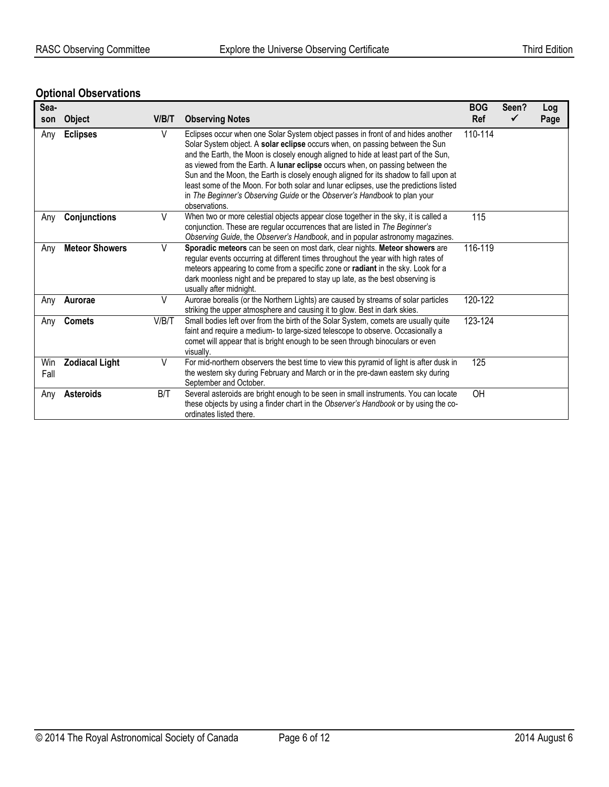### **Optional Observations**

| Sea-<br>son | <b>Object</b>         | V/B/T | <b>Observing Notes</b>                                                                                                                                                                                                                                                                                                                                                                                                                                                                                                                                                                                                  | <b>BOG</b><br><b>Ref</b> | Seen? | Log<br>Page |
|-------------|-----------------------|-------|-------------------------------------------------------------------------------------------------------------------------------------------------------------------------------------------------------------------------------------------------------------------------------------------------------------------------------------------------------------------------------------------------------------------------------------------------------------------------------------------------------------------------------------------------------------------------------------------------------------------------|--------------------------|-------|-------------|
| Any         | <b>Eclipses</b>       | V     | Eclipses occur when one Solar System object passes in front of and hides another<br>Solar System object. A solar eclipse occurs when, on passing between the Sun<br>and the Earth, the Moon is closely enough aligned to hide at least part of the Sun,<br>as viewed from the Earth. A lunar eclipse occurs when, on passing between the<br>Sun and the Moon, the Earth is closely enough aligned for its shadow to fall upon at<br>least some of the Moon. For both solar and lunar eclipses, use the predictions listed<br>in The Beginner's Observing Guide or the Observer's Handbook to plan your<br>observations. | 110-114                  |       |             |
| Any         | Conjunctions          | V     | When two or more celestial objects appear close together in the sky, it is called a<br>conjunction. These are regular occurrences that are listed in The Beginner's<br>Observing Guide, the Observer's Handbook, and in popular astronomy magazines.                                                                                                                                                                                                                                                                                                                                                                    | 115                      |       |             |
| Any         | <b>Meteor Showers</b> | V     | Sporadic meteors can be seen on most dark, clear nights. Meteor showers are<br>regular events occurring at different times throughout the year with high rates of<br>meteors appearing to come from a specific zone or radiant in the sky. Look for a<br>dark moonless night and be prepared to stay up late, as the best observing is<br>usually after midnight.                                                                                                                                                                                                                                                       | 116-119                  |       |             |
| Any         | Aurorae               | V     | Aurorae borealis (or the Northern Lights) are caused by streams of solar particles<br>striking the upper atmosphere and causing it to glow. Best in dark skies.                                                                                                                                                                                                                                                                                                                                                                                                                                                         | 120-122                  |       |             |
| Any         | <b>Comets</b>         | V/B/T | Small bodies left over from the birth of the Solar System, comets are usually quite<br>faint and require a medium- to large-sized telescope to observe. Occasionally a<br>comet will appear that is bright enough to be seen through binoculars or even<br>visually.                                                                                                                                                                                                                                                                                                                                                    | 123-124                  |       |             |
| Win<br>Fall | <b>Zodiacal Light</b> | V     | For mid-northern observers the best time to view this pyramid of light is after dusk in<br>the western sky during February and March or in the pre-dawn eastern sky during<br>September and October.                                                                                                                                                                                                                                                                                                                                                                                                                    | 125                      |       |             |
| Any         | <b>Asteroids</b>      | B/T   | Several asteroids are bright enough to be seen in small instruments. You can locate<br>these objects by using a finder chart in the Observer's Handbook or by using the co-<br>ordinates listed there.                                                                                                                                                                                                                                                                                                                                                                                                                  | OH                       |       |             |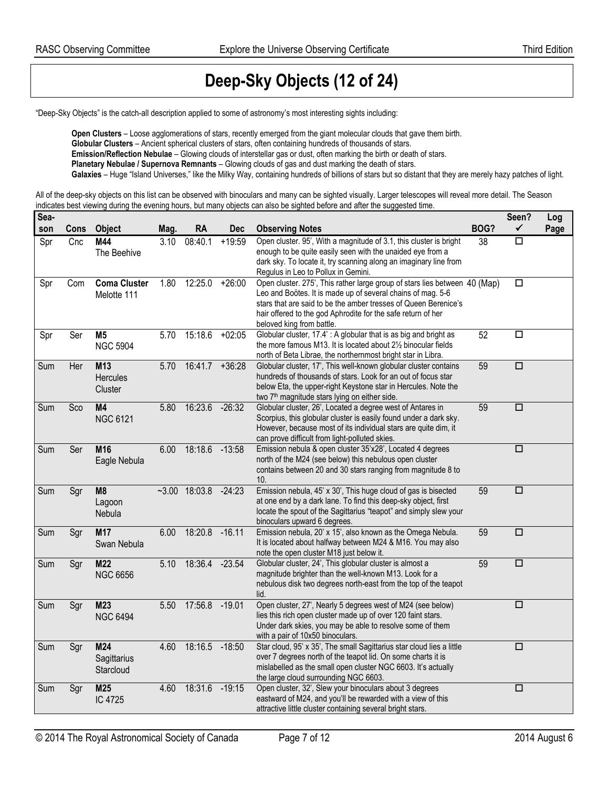## **Deep-Sky Objects (12 of 24)**

"Deep-Sky Objects" is the catch-all description applied to some of astronomy's most interesting sights including:

**Open Clusters** – Loose agglomerations of stars, recently emerged from the giant molecular clouds that gave them birth. **Globular Clusters** – Ancient spherical clusters of stars, often containing hundreds of thousands of stars. **Emission/Reflection Nebulae** – Glowing clouds of interstellar gas or dust, often marking the birth or death of stars. **Planetary Nebulae / Supernova Remnants** – Glowing clouds of gas and dust marking the death of stars. Galaxies - Huge "Island Universes," like the Milky Way, containing hundreds of billions of stars but so distant that they are merely hazy patches of light.

All of the deep-sky objects on this list can be observed with binoculars and many can be sighted visually. Larger telescopes will reveal more detail. The Season indicates best viewing during the evening hours, but many objects can also be sighted before and after the suggested time.

| Sea-       | Cons | <b>Object</b>                      |              | RA                       | <b>Dec</b> |                                                                                                                                                                                                                                                                                                           | BOG? | Seen?<br>✓           | Log  |
|------------|------|------------------------------------|--------------|--------------------------|------------|-----------------------------------------------------------------------------------------------------------------------------------------------------------------------------------------------------------------------------------------------------------------------------------------------------------|------|----------------------|------|
| son<br>Spr | Cnc  | M44<br>The Beehive                 | Mag.<br>3.10 | 08:40.1                  | $+19:59$   | <b>Observing Notes</b><br>Open cluster. 95', With a magnitude of 3.1, this cluster is bright<br>enough to be quite easily seen with the unaided eye from a                                                                                                                                                | 38   | $\Box$               | Page |
|            |      |                                    |              |                          |            | dark sky. To locate it, try scanning along an imaginary line from<br>Regulus in Leo to Pollux in Gemini.                                                                                                                                                                                                  |      |                      |      |
| Spr        | Com  | <b>Coma Cluster</b><br>Melotte 111 | 1.80         | 12:25.0                  | $+26:00$   | Open cluster. 275', This rather large group of stars lies between 40 (Map)<br>Leo and Boötes. It is made up of several chains of mag. 5-6<br>stars that are said to be the amber tresses of Queen Berenice's<br>hair offered to the god Aphrodite for the safe return of her<br>beloved king from battle. |      | $\Box$               |      |
| Spr        | Ser  | M <sub>5</sub><br><b>NGC 5904</b>  | 5.70         | 15:18.6                  | $+02:05$   | Globular cluster, 17.4': A globular that is as big and bright as<br>the more famous M13. It is located about 2 <sup>1</sup> / <sub>2</sub> binocular fields<br>north of Beta Librae, the northernmost bright star in Libra.                                                                               | 52   | $\Box$               |      |
| Sum        | Her  | M13<br>Hercules<br>Cluster         | 5.70         | 16:41.7                  | $+36:28$   | Globular cluster, 17', This well-known globular cluster contains<br>hundreds of thousands of stars. Look for an out of focus star<br>below Eta, the upper-right Keystone star in Hercules. Note the<br>two 7 <sup>th</sup> magnitude stars lying on either side.                                          | 59   | $\Box$               |      |
| Sum        | Sco  | M4<br><b>NGC 6121</b>              | 5.80         | 16:23.6                  | $-26:32$   | Globular cluster, 26', Located a degree west of Antares in<br>Scorpius, this globular cluster is easily found under a dark sky.<br>However, because most of its individual stars are quite dim, it<br>can prove difficult from light-polluted skies.                                                      | 59   | $\overline{\square}$ |      |
| Sum        | Ser  | M16<br>Eagle Nebula                | 6.00         | 18:18.6 -13:58           |            | Emission nebula & open cluster 35'x28', Located 4 degrees<br>north of the M24 (see below) this nebulous open cluster<br>contains between 20 and 30 stars ranging from magnitude 8 to<br>10.                                                                                                               |      | $\Box$               |      |
| Sum        | Sgr  | M <sub>8</sub><br>Lagoon<br>Nebula |              | $-3.00$ 18:03.8 $-24:23$ |            | Emission nebula, 45' x 30', This huge cloud of gas is bisected<br>at one end by a dark lane. To find this deep-sky object, first<br>locate the spout of the Sagittarius "teapot" and simply slew your<br>binoculars upward 6 degrees.                                                                     | 59   | $\overline{\square}$ |      |
| Sum        | Sgr  | M17<br>Swan Nebula                 | 6.00         | 18:20.8                  | $-16.11$   | Emission nebula, 20' x 15', also known as the Omega Nebula.<br>It is located about halfway between M24 & M16. You may also<br>note the open cluster M18 just below it.                                                                                                                                    | 59   | $\overline{\square}$ |      |
| Sum        | Sgr  | M <sub>22</sub><br><b>NGC 6656</b> | 5.10         | 18:36.4 -23.54           |            | Globular cluster, 24', This globular cluster is almost a<br>magnitude brighter than the well-known M13. Look for a<br>nebulous disk two degrees north-east from the top of the teapot<br>lid.                                                                                                             | 59   | $\overline{\square}$ |      |
| Sum        | Sgr  | M23<br><b>NGC 6494</b>             | 5.50         | 17:56.8 -19.01           |            | Open cluster, 27', Nearly 5 degrees west of M24 (see below)<br>lies this rich open cluster made up of over 120 faint stars.<br>Under dark skies, you may be able to resolve some of them<br>with a pair of 10x50 binoculars.                                                                              |      | $\overline{\square}$ |      |
| Sum        | Sgr  | M24<br>Sagittarius<br>Starcloud    | 4.60         | 18:16.5 -18:50           |            | Star cloud, 95' x 35', The small Sagittarius star cloud lies a little<br>over 7 degrees north of the teapot lid. On some charts it is<br>mislabelled as the small open cluster NGC 6603. It's actually<br>the large cloud surrounding NGC 6603.                                                           |      | □                    |      |
| Sum        | Sgr  | M25<br>IC 4725                     | 4.60         | 18:31.6                  | $-19:15$   | Open cluster, 32', Slew your binoculars about 3 degrees<br>eastward of M24, and you'll be rewarded with a view of this<br>attractive little cluster containing several bright stars.                                                                                                                      |      | $\Box$               |      |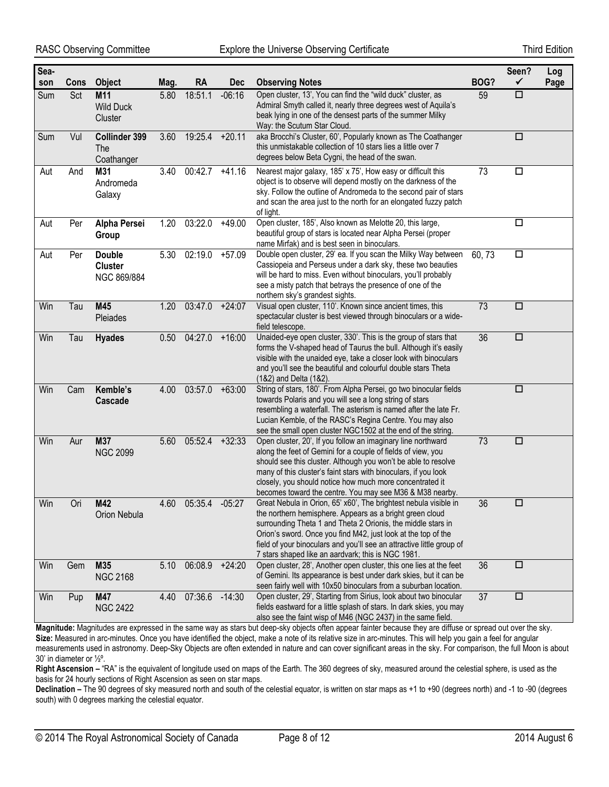| Sea-<br>son | Cons | <b>Object</b>                                  | Mag. | <b>RA</b>      | <b>Dec</b> | <b>Observing Notes</b>                                                                                                                                                                                                                                                                                                                                                                       | BOG?   | Seen?<br>$\checkmark$ | Log<br>Page |
|-------------|------|------------------------------------------------|------|----------------|------------|----------------------------------------------------------------------------------------------------------------------------------------------------------------------------------------------------------------------------------------------------------------------------------------------------------------------------------------------------------------------------------------------|--------|-----------------------|-------------|
| Sum         | Sct  | M11<br><b>Wild Duck</b><br>Cluster             | 5.80 | 18:51.1        | $-06:16$   | Open cluster, 13', You can find the "wild duck" cluster, as<br>Admiral Smyth called it, nearly three degrees west of Aquila's<br>beak lying in one of the densest parts of the summer Milky<br>Way: the Scutum Star Cloud.                                                                                                                                                                   | 59     | $\Box$                |             |
| Sum         | Vul  | Collinder 399<br>The<br>Coathanger             | 3.60 | 19:25.4        | $+20.11$   | aka Brocchi's Cluster, 60', Popularly known as The Coathanger<br>this unmistakable collection of 10 stars lies a little over 7<br>degrees below Beta Cygni, the head of the swan.                                                                                                                                                                                                            |        | □                     |             |
| Aut         | And  | M31<br>Andromeda<br>Galaxy                     | 3.40 | 00:42.7        | $+41.16$   | Nearest major galaxy, 185' x 75', How easy or difficult this<br>object is to observe will depend mostly on the darkness of the<br>sky. Follow the outline of Andromeda to the second pair of stars<br>and scan the area just to the north for an elongated fuzzy patch<br>of light.                                                                                                          | 73     | $\Box$                |             |
| Aut         | Per  | Alpha Persei<br>Group                          | 1.20 | 03:22.0        | $+49.00$   | Open cluster, 185', Also known as Melotte 20, this large,<br>beautiful group of stars is located near Alpha Persei (proper<br>name Mirfak) and is best seen in binoculars.                                                                                                                                                                                                                   |        | $\Box$                |             |
| Aut         | Per  | <b>Double</b><br><b>Cluster</b><br>NGC 869/884 | 5.30 | 02:19.0        | $+57.09$   | Double open cluster, 29' ea. If you scan the Milky Way between<br>Cassiopeia and Perseus under a dark sky, these two beauties<br>will be hard to miss. Even without binoculars, you'll probably<br>see a misty patch that betrays the presence of one of the<br>northern sky's grandest sights.                                                                                              | 60, 73 | $\Box$                |             |
| Win         | Tau  | M45<br>Pleiades                                | 1.20 | 03:47.0        | $+24:07$   | Visual open cluster, 110'. Known since ancient times, this<br>spectacular cluster is best viewed through binoculars or a wide-<br>field telescope.                                                                                                                                                                                                                                           | 73     | $\Box$                |             |
| Win         | Tau  | <b>Hyades</b>                                  | 0.50 | 04:27.0        | $+16:00$   | Unaided-eye open cluster, 330'. This is the group of stars that<br>forms the V-shaped head of Taurus the bull. Although it's easily<br>visible with the unaided eye, take a closer look with binoculars<br>and you'll see the beautiful and colourful double stars Theta<br>(1&2) and Delta (1&2).                                                                                           | 36     | $\Box$                |             |
| Win         | Cam  | Kemble's<br><b>Cascade</b>                     | 4.00 | 03:57.0        | $+63:00$   | String of stars, 180'. From Alpha Persei, go two binocular fields<br>towards Polaris and you will see a long string of stars<br>resembling a waterfall. The asterism is named after the late Fr.<br>Lucian Kemble, of the RASC's Regina Centre. You may also<br>see the small open cluster NGC1502 at the end of the string.                                                                 |        | $\Box$                |             |
| Win         | Aur  | M37<br><b>NGC 2099</b>                         | 5.60 | 05:52.4        | $+32:33$   | Open cluster, 20', If you follow an imaginary line northward<br>along the feet of Gemini for a couple of fields of view, you<br>should see this cluster. Although you won't be able to resolve<br>many of this cluster's faint stars with binoculars, if you look<br>closely, you should notice how much more concentrated it<br>becomes toward the centre. You may see M36 & M38 nearby.    | 73     | $\Box$                |             |
| Win         | Ori  | M42<br>Orion Nebula                            | 4.60 | 05:35.4        | $-05:27$   | Great Nebula in Orion, 65' x60', The brightest nebula visible in<br>the northern hemisphere. Appears as a bright green cloud<br>surrounding Theta 1 and Theta 2 Orionis, the middle stars in<br>Orion's sword. Once you find M42, just look at the top of the<br>field of your binoculars and you'll see an attractive little group of<br>7 stars shaped like an aardvark; this is NGC 1981. | 36     | □                     |             |
| Win         | Gem  | M35<br><b>NGC 2168</b>                         | 5.10 | 06:08.9        | $+24:20$   | Open cluster, 28', Another open cluster, this one lies at the feet<br>of Gemini. Its appearance is best under dark skies, but it can be<br>seen fairly well with 10x50 binoculars from a suburban location.                                                                                                                                                                                  | 36     | □                     |             |
| Win         | Pup  | M47<br><b>NGC 2422</b>                         | 4.40 | 07:36.6 -14:30 |            | Open cluster, 29', Starting from Sirius, look about two binocular<br>fields eastward for a little splash of stars. In dark skies, you may<br>also see the faint wisp of M46 (NGC 2437) in the same field.                                                                                                                                                                                    | 37     | $\Box$                |             |

**Magnitude:** Magnitudes are expressed in the same way as stars but deep-sky objects often appear fainter because they are diffuse or spread out over the sky. **Size:** Measured in arc-minutes. Once you have identified the object, make a note of its relative size in arc-minutes. This will help you gain a feel for angular measurements used in astronomy. Deep-Sky Objects are often extended in nature and can cover significant areas in the sky. For comparison, the full Moon is about 30' in diameter or ½º.

**Right Ascension –** "RA" is the equivalent of longitude used on maps of the Earth. The 360 degrees of sky, measured around the celestial sphere, is used as the basis for 24 hourly sections of Right Ascension as seen on star maps.

**Declination –** The 90 degrees of sky measured north and south of the celestial equator, is written on star maps as +1 to +90 (degrees north) and -1 to -90 (degrees south) with 0 degrees marking the celestial equator.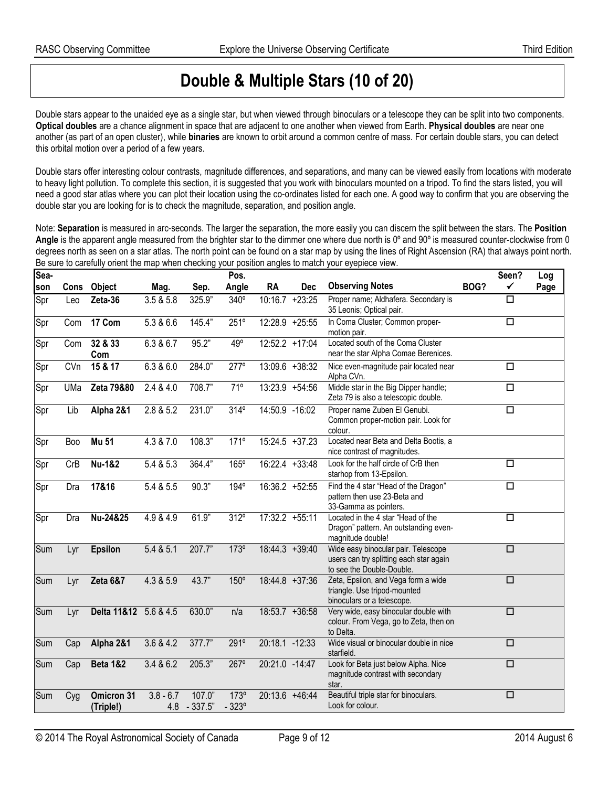## **Double & Multiple Stars (10 of 20)**

Double stars appear to the unaided eye as a single star, but when viewed through binoculars or a telescope they can be split into two components. **Optical doubles** are a chance alignment in space that are adjacent to one another when viewed from Earth. **Physical doubles** are near one another (as part of an open cluster), while **binaries** are known to orbit around a common centre of mass. For certain double stars, you can detect this orbital motion over a period of a few years.

Double stars offer interesting colour contrasts, magnitude differences, and separations, and many can be viewed easily from locations with moderate to heavy light pollution. To complete this section, it is suggested that you work with binoculars mounted on a tripod. To find the stars listed, you will need a good star atlas where you can plot their location using the co-ordinates listed for each one. A good way to confirm that you are observing the double star you are looking for is to check the magnitude, separation, and position angle.

Note: **Separation** is measured in arc-seconds. The larger the separation, the more easily you can discern the split between the stars. The **Position**  Angle is the apparent angle measured from the brighter star to the dimmer one where due north is 0° and 90° is measured counter-clockwise from 0 degrees north as seen on a star atlas. The north point can be found on a star map by using the lines of Right Ascension (RA) that always point north. Be sure to carefully orient the map when checking your position angles to match your eyepiece view.

| Sea- |      |                         |                    |                     | Pos.                   |                   |            |                                                                                                             |                      | Seen?                | Log  |
|------|------|-------------------------|--------------------|---------------------|------------------------|-------------------|------------|-------------------------------------------------------------------------------------------------------------|----------------------|----------------------|------|
| son  | Cons | Object                  | Mag.               | Sep.                | Angle                  | <b>RA</b>         | <b>Dec</b> | <b>Observing Notes</b>                                                                                      | BOG?                 | ✓                    | Page |
| Spr  | Leo  | Zeta-36                 | 3.5 & 5.8          | 325.9"              | 340°                   | $10:16.7 + 23:25$ |            | Proper name; Aldhafera. Secondary is<br>35 Leonis; Optical pair.                                            |                      | $\Box$               |      |
| Spr  | Com  | 17 Com                  | 5.3 & 6.6          | 145.4"              | 251°                   | 12:28.9 +25:55    |            | In Coma Cluster; Common proper-<br>motion pair.                                                             |                      | $\Box$               |      |
| Spr  | Com  | 32 & 33<br>Com          | 6.3 & 6.7          | 95.2"               | $49^\circ$             | $12:52.2 +17:04$  |            | Located south of the Coma Cluster<br>near the star Alpha Comae Berenices.                                   |                      |                      |      |
| Spr  | CVn  | 15 & 17                 | 6.3 & 6.0          | 284.0"              | $277^\circ$            | $13:09.6 + 38:32$ |            | Nice even-magnitude pair located near<br>Alpha CVn.                                                         |                      | $\overline{\square}$ |      |
| Spr  | UMa  | Zeta 79&80              | 2.4 & 4.0          | 708.7"              | 71°                    | $13:23.9 +54:56$  |            | Middle star in the Big Dipper handle;<br>Zeta 79 is also a telescopic double.                               | $\Box$               |                      |      |
| Spr  | Lib  | Alpha 2&1               | 2.8 & 5.2          | 231.0"              | $314^\circ$            | 14:50.9 -16:02    |            | Proper name Zuben El Genubi.<br>Common proper-motion pair. Look for<br>colour.                              |                      | $\overline{\square}$ |      |
| Spr  | Boo  | <b>Mu 51</b>            | 4.3 & 7.0          | 108.3"              | 171°                   | $15:24.5 +37.23$  |            | Located near Beta and Delta Bootis, a<br>nice contrast of magnitudes.                                       |                      |                      |      |
| Spr  | CrB  | <b>Nu-1&amp;2</b>       | 5.4 & 5.3          | 364.4"              | $165^\circ$            | $16:22.4 +33:48$  |            | Look for the half circle of CrB then<br>starhop from 13-Epsilon.                                            |                      | $\overline{\Box}$    |      |
| Spr  | Dra  | 17&16                   | 5.4 & 5.5          | 90.3"               | $194^\circ$            | $16:36.2 +52:55$  |            | Find the 4 star "Head of the Dragon"<br>pattern then use 23-Beta and<br>33-Gamma as pointers.               |                      | $\Box$               |      |
| Spr  | Dra  | Nu-24&25                | 4.9 & 4.9          | 61.9"               | 312°                   | $17:32.2 +55:11$  |            | Located in the 4 star "Head of the<br>Dragon" pattern. An outstanding even-<br>magnitude double!            |                      | $\overline{\square}$ |      |
| Sum  | Lyr  | <b>Epsilon</b>          | 5.4 & 5.1          | 207.7"              | 173°                   | $18:44.3 + 39:40$ |            | Wide easy binocular pair. Telescope<br>users can try splitting each star again<br>to see the Double-Double. | $\overline{\square}$ |                      |      |
| Sum  | Lyr  | <b>Zeta 6&amp;7</b>     | 4.3 & 5.9          | 43.7"               | 150°                   | 18:44.8 +37:36    |            | Zeta, Epsilon, and Vega form a wide<br>triangle. Use tripod-mounted<br>binoculars or a telescope.           |                      | $\Box$               |      |
| Sum  | Lyr  | Delta 11&12 5.6 & 4.5   |                    | 630.0"              | n/a                    | $18:53.7 + 36:58$ |            | Very wide, easy binocular double with<br>colour. From Vega, go to Zeta, then on<br>to Delta.                | $\Box$               |                      |      |
| Sum  | Cap  | Alpha 2&1               | 3.6 & 4.2          | 377.7"              | 291°                   | 20:18.1 -12:33    |            | Wide visual or binocular double in nice<br>starfield.                                                       |                      | $\Box$               |      |
| Sum  | Cap  | <b>Beta 1&amp;2</b>     | 3.4 & 6.2          | 205.3"              | $267^\circ$            | 20:21.0 -14:47    |            | Look for Beta just below Alpha. Nice<br>magnitude contrast with secondary<br>star.                          |                      | $\Box$               |      |
| Sum  | Cyg  | Omicron 31<br>(Triple!) | $3.8 - 6.7$<br>4.8 | 107.0"<br>$-337.5"$ | 173°<br>$-323^{\circ}$ | $20:13.6$ +46:44  |            | Beautiful triple star for binoculars.<br>Look for colour.                                                   |                      | $\Box$               |      |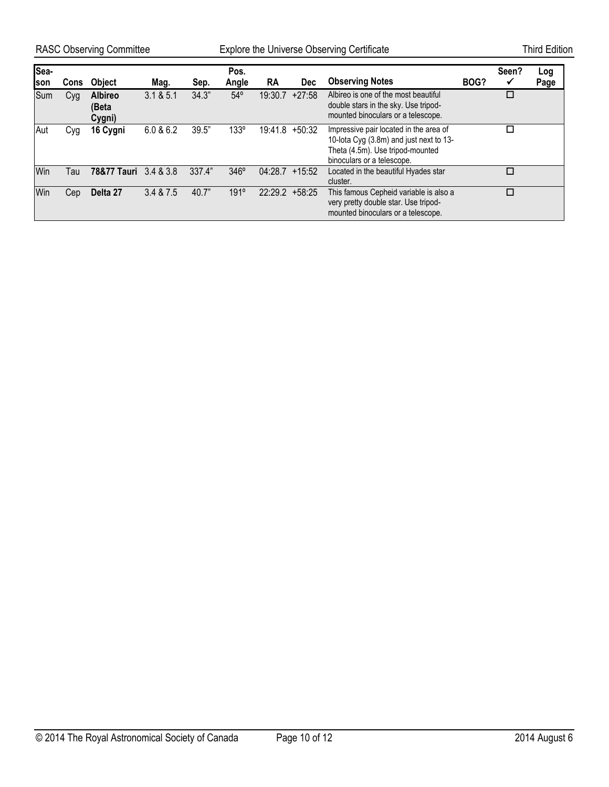RASC Observing Committee **Explore the Universe Observing Certificate** Third Edition

| Sea-<br><b>son</b> | Cons | <b>Object</b>                     | Mag.        | Sep.   | Pos.<br>Angle | <b>RA</b> | <b>Dec</b> | <b>Observing Notes</b>                                                                                                                              | BOG? | Seen? | Log<br>Page |
|--------------------|------|-----------------------------------|-------------|--------|---------------|-----------|------------|-----------------------------------------------------------------------------------------------------------------------------------------------------|------|-------|-------------|
| Sum                | Cyg  | <b>Albireo</b><br>(Beta<br>Cygni) | 3.1 & 8.5.1 | 34.3"  | $54^{\circ}$  | 19:30.7   | $+27:58$   | Albireo is one of the most beautiful<br>double stars in the sky. Use tripod-<br>mounted binoculars or a telescope.                                  |      |       |             |
| Aut                | Cyg  | 16 Cygni                          | 6.0 & 6.2   | 39.5"  | 133°          | 19:41.8   | $+50:32$   | Impressive pair located in the area of<br>10-lota Cyg (3.8m) and just next to 13-<br>Theta (4.5m). Use tripod-mounted<br>binoculars or a telescope. |      |       |             |
| Win                | Tau  | <b>78&amp;77 Tauri</b>            | 3.4 & 3.8   | 337.4" | 346°          | 04:28.7   | $+15:52$   | Located in the beautiful Hyades star<br>cluster.                                                                                                    |      | П     |             |
| Win                | Cep  | Delta 27                          | 3.4 & 7.5   | 40.7"  | 191°          | 22:29.2   | $+58:25$   | This famous Cepheid variable is also a<br>very pretty double star. Use tripod-<br>mounted binoculars or a telescope.                                |      | п     |             |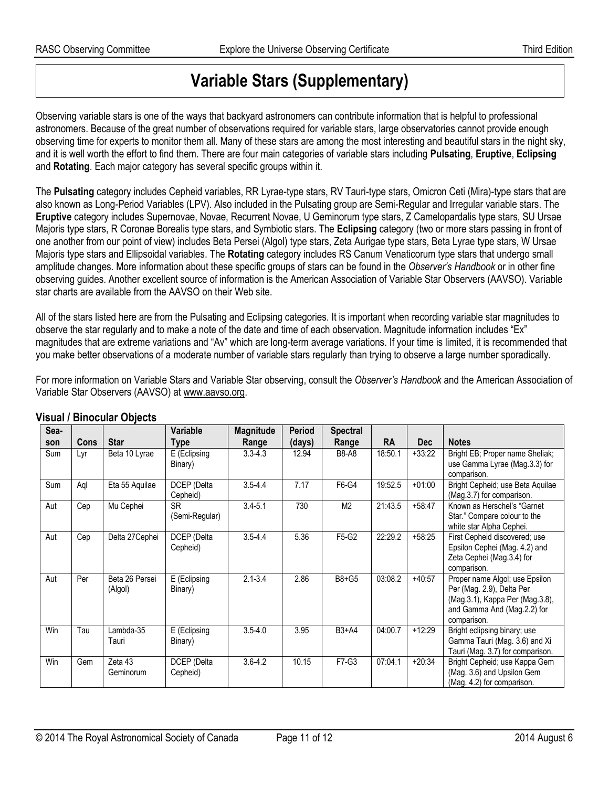## **Variable Stars (Supplementary)**

Observing variable stars is one of the ways that backyard astronomers can contribute information that is helpful to professional astronomers. Because of the great number of observations required for variable stars, large observatories cannot provide enough observing time for experts to monitor them all. Many of these stars are among the most interesting and beautiful stars in the night sky, and it is well worth the effort to find them. There are four main categories of variable stars including **Pulsating**, **Eruptive**, **Eclipsing** and **Rotating**. Each major category has several specific groups within it.

The **Pulsating** category includes Cepheid variables, RR Lyrae-type stars, RV Tauri-type stars, Omicron Ceti (Mira)-type stars that are also known as Long-Period Variables (LPV). Also included in the Pulsating group are Semi-Regular and Irregular variable stars. The **Eruptive** category includes Supernovae, Novae, Recurrent Novae, U Geminorum type stars, Z Camelopardalis type stars, SU Ursae Majoris type stars, R Coronae Borealis type stars, and Symbiotic stars. The **Eclipsing** category (two or more stars passing in front of one another from our point of view) includes Beta Persei (Algol) type stars, Zeta Aurigae type stars, Beta Lyrae type stars, W Ursae Majoris type stars and Ellipsoidal variables. The **Rotating** category includes RS Canum Venaticorum type stars that undergo small amplitude changes. More information about these specific groups of stars can be found in the *Observer's Handbook* or in other fine observing guides. Another excellent source of information is the American Association of Variable Star Observers (AAVSO). Variable star charts are available from the AAVSO on their Web site.

All of the stars listed here are from the Pulsating and Eclipsing categories. It is important when recording variable star magnitudes to observe the star regularly and to make a note of the date and time of each observation. Magnitude information includes "Ex" magnitudes that are extreme variations and "Av" which are long-term average variations. If your time is limited, it is recommended that you make better observations of a moderate number of variable stars regularly than trying to observe a large number sporadically.

For more information on Variable Stars and Variable Star observing, consult the *Observer's Handbook* and the American Association of Variable Star Observers (AAVSO) at www.aavso.org.

| Sea-       |             |                           | Variable                    | <b>Magnitude</b> | <b>Period</b> | <b>Spectral</b>      |           |            |                                                                                                                                              |
|------------|-------------|---------------------------|-----------------------------|------------------|---------------|----------------------|-----------|------------|----------------------------------------------------------------------------------------------------------------------------------------------|
| son        | <b>Cons</b> | <b>Star</b>               | <b>Type</b>                 | Range            | (days)        | Range                | <b>RA</b> | <b>Dec</b> | <b>Notes</b>                                                                                                                                 |
| <b>Sum</b> | Lyr         | Beta 10 Lyrae             | E (Eclipsing<br>Binary)     | $3.3 - 4.3$      | 12.94         | <b>B8-A8</b>         | 18:50.1   | $+33:22$   | Bright EB; Proper name Sheliak;<br>use Gamma Lyrae (Mag.3.3) for<br>comparison.                                                              |
| Sum        | Aql         | Eta 55 Aquilae            | DCEP (Delta<br>Cepheid)     | $3.5 - 4.4$      | 7.17          | F6-G4                | 19:52.5   | $+01:00$   | Bright Cepheid; use Beta Aquilae<br>(Mag.3.7) for comparison.                                                                                |
| Aut        | Cep         | Mu Cephei                 | <b>SR</b><br>(Semi-Regular) | $3.4 - 5.1$      | 730           | M <sub>2</sub>       | 21:43.5   | $+58:47$   | Known as Herschel's "Garnet"<br>Star." Compare colour to the<br>white star Alpha Cephei.                                                     |
| Aut        | Cep         | Delta 27 Cephei           | DCEP (Delta<br>Cepheid)     | $3.5 - 4.4$      | 5.36          | F5-G2                | 22:29.2   | $+58:25$   | First Cepheid discovered; use<br>Epsilon Cephei (Mag. 4.2) and<br>Zeta Cephei (Mag.3.4) for<br>comparison.                                   |
| Aut        | Per         | Beta 26 Persei<br>(Algol) | E (Eclipsing<br>Binary)     | $2.1 - 3.4$      | 2.86          | B8+G5                | 03:08.2   | $+40:57$   | Proper name Algol; use Epsilon<br>Per (Mag. 2.9), Delta Per<br>(Mag.3.1), Kappa Per (Mag.3.8),<br>and Gamma And (Mag.2.2) for<br>comparison. |
| Win        | Tau         | Lambda-35<br>Tauri        | E (Eclipsing<br>Binary)     | $3.5 - 4.0$      | 3.95          | $\overline{B}3 + A4$ | 04:00.7   | $+12:29$   | Bright eclipsing binary; use<br>Gamma Tauri (Mag. 3.6) and Xi<br>Tauri (Mag. 3.7) for comparison.                                            |
| Win        | Gem         | Zeta 43<br>Geminorum      | DCEP (Delta<br>Cepheid)     | $3.6 - 4.2$      | 10.15         | F7-G3                | 07:04.1   | $+20:34$   | Bright Cepheid; use Kappa Gem<br>(Mag. 3.6) and Upsilon Gem<br>(Mag. 4.2) for comparison.                                                    |

#### **Visual / Binocular Objects**